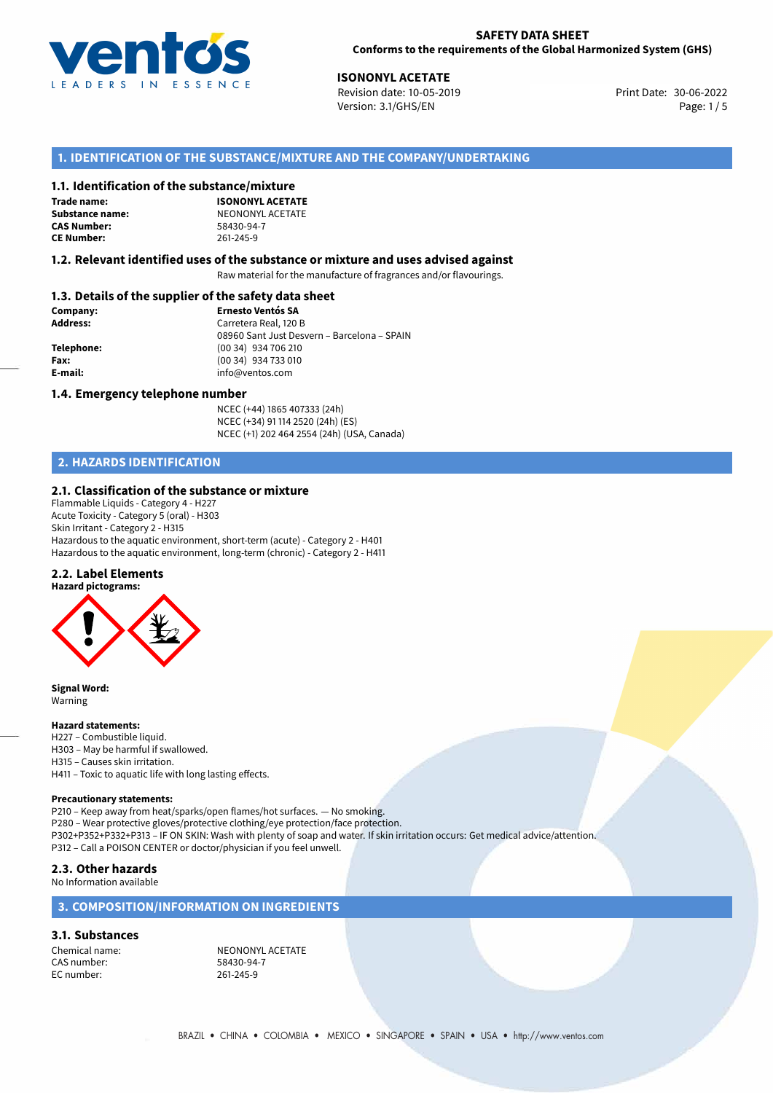

30-06-2022 **ISONONYL ACETATE** Revision date: 10-05-2019 Print Date: Version: 3.1/GHS/EN Page: 1 / 5

# **1. IDENTIFICATION OF THE SUBSTANCE/MIXTURE AND THE COMPANY/UNDERTAKING**

#### **1.1. Identification of the substance/mixture**

**Trade name: CAS Number: CE Number:** 261-245-9

**ISONONYL ACETATE Substance name:** NEONONYL ACETATE<br> **CAS Number:** 58430-94-7

#### **1.2. Relevant identified uses of the substance or mixture and uses advised against**

Raw material for the manufacture of fragrances and/or flavourings.

## **1.3. Details of the supplier of the safety data sheet**

| Company:   | <b>Ernesto Ventós SA</b>                    |
|------------|---------------------------------------------|
| Address:   | Carretera Real, 120 B                       |
|            | 08960 Sant Just Desvern - Barcelona - SPAIN |
| Telephone: | (00 34) 934 706 210                         |
| Fax:       | (00 34) 934 733 010                         |
| E-mail:    | info@ventos.com                             |
|            |                                             |

#### **1.4. Emergency telephone number**

NCEC (+44) 1865 407333 (24h) NCEC (+34) 91 114 2520 (24h) (ES) NCEC (+1) 202 464 2554 (24h) (USA, Canada)

# **2. HAZARDS IDENTIFICATION**

#### **2.1. Classification of the substance or mixture**

Flammable Liquids - Category 4 - H227 Acute Toxicity - Category 5 (oral) - H303 Skin Irritant - Category 2 - H315 Hazardous to the aquatic environment, short-term (acute) - Category 2 - H401 Hazardous to the aquatic environment, long-term (chronic) - Category 2 - H411

## **2.2. Label Elements**



**Signal Word:** Warning

#### **Hazard statements:**

H227 – Combustible liquid. H303 – May be harmful if swallowed. H315 – Causes skin irritation. H411 – Toxic to aquatic life with long lasting effects.

#### **Precautionary statements:**

P210 – Keep away from heat/sparks/open flames/hot surfaces. — No smoking. P280 – Wear protective gloves/protective clothing/eye protection/face protection. P302+P352+P332+P313 – IF ON SKIN: Wash with plenty of soap and water. If skin irritation occurs: Get medical advice/attention. P312 – Call a POISON CENTER or doctor/physician if you feel unwell.

## **2.3. Other hazards**

#### No Information available

## **3. COMPOSITION/INFORMATION ON INGREDIENTS**

#### **3.1. Substances**

CAS number: EC number: 261-245-9

Chemical name: NEONONYL ACETATE<br>
CAS number: 58430-94-7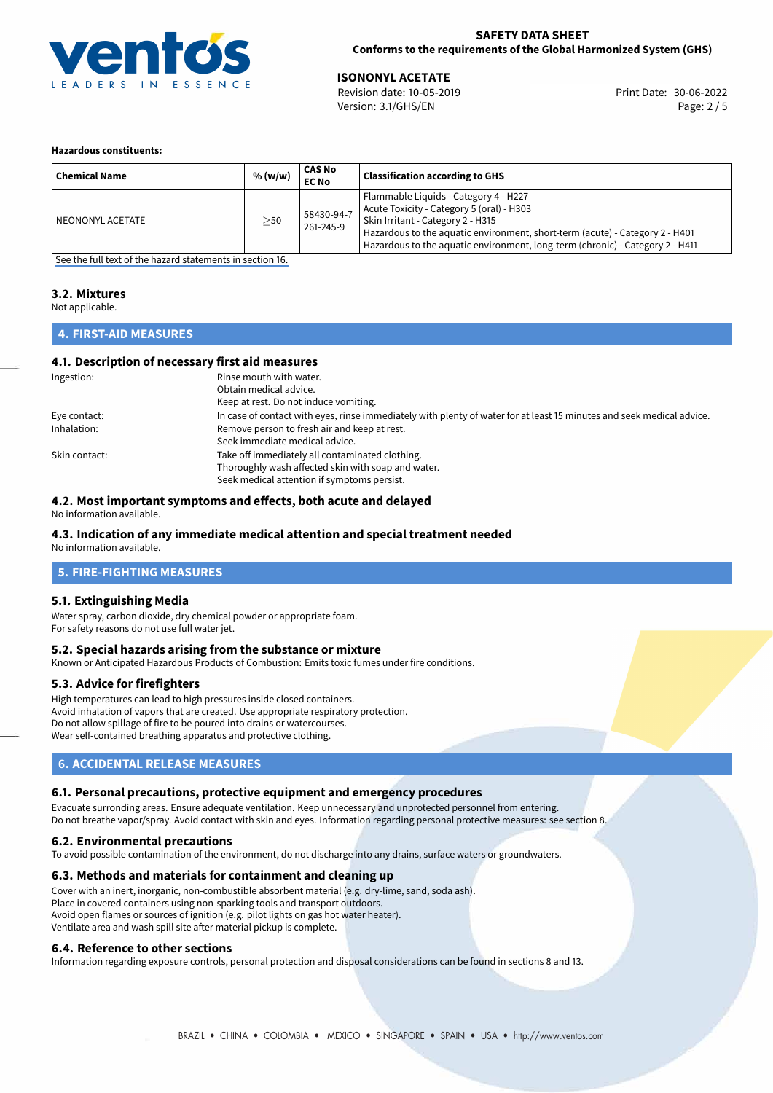

## **SAFETY DATA SHEET Conforms to the requirements of the Global Harmonized System (GHS)**

30-06-2022 **ISONONYL ACETATE** Revision date: 10-05-2019 Print Date: Version: 3.1/GHS/EN Page: 2 / 5

#### **Hazardous constituents:**

| <b>Chemical Name</b> | % (w/w)   | CAS No<br><b>EC No</b>  | <b>Classification according to GHS</b>                                                                                                                                                                                                                                                   |
|----------------------|-----------|-------------------------|------------------------------------------------------------------------------------------------------------------------------------------------------------------------------------------------------------------------------------------------------------------------------------------|
| NEONONYL ACETATE     | $\geq$ 50 | 58430-94-7<br>261-245-9 | Flammable Liquids - Category 4 - H227<br>Acute Toxicity - Category 5 (oral) - H303<br>Skin Irritant - Category 2 - H315<br>Hazardous to the aquatic environment, short-term (acute) - Category 2 - H401<br>Hazardous to the aquatic environment, long-term (chronic) - Category 2 - H411 |

[See the full text of the hazard statements in section 16.](#page-4-0)

#### **3.2. Mixtures**

Not applicable.

# **4. FIRST-AID MEASURES**

## **4.1. Description of necessary first aid measures**

| Ingestion:    | Rinse mouth with water.                                                                                               |
|---------------|-----------------------------------------------------------------------------------------------------------------------|
|               | Obtain medical advice.                                                                                                |
|               | Keep at rest. Do not induce vomiting.                                                                                 |
| Eye contact:  | In case of contact with eyes, rinse immediately with plenty of water for at least 15 minutes and seek medical advice. |
| Inhalation:   | Remove person to fresh air and keep at rest.                                                                          |
|               | Seek immediate medical advice.                                                                                        |
| Skin contact: | Take off immediately all contaminated clothing.                                                                       |
|               | Thoroughly wash affected skin with soap and water.                                                                    |
|               | Seek medical attention if symptoms persist.                                                                           |

## **4.2. Most important symptoms and effects, both acute and delayed**

No information available.

# **4.3. Indication of any immediate medical attention and special treatment needed**

No information available.

# **5. FIRE-FIGHTING MEASURES**

## **5.1. Extinguishing Media**

Water spray, carbon dioxide, dry chemical powder or appropriate foam. For safety reasons do not use full water jet.

## **5.2. Special hazards arising from the substance or mixture**

Known or Anticipated Hazardous Products of Combustion: Emits toxic fumes under fire conditions.

## **5.3. Advice for firefighters**

High temperatures can lead to high pressures inside closed containers. Avoid inhalation of vapors that are created. Use appropriate respiratory protection. Do not allow spillage of fire to be poured into drains or watercourses. Wear self-contained breathing apparatus and protective clothing.

## **6. ACCIDENTAL RELEASE MEASURES**

## **6.1. Personal precautions, protective equipment and emergency procedures**

Evacuate surronding areas. Ensure adequate ventilation. Keep unnecessary and unprotected personnel from entering. Do not breathe vapor/spray. Avoid contact with skin and eyes. Information regarding personal protective measures: see section 8.

#### **6.2. Environmental precautions**

To avoid possible contamination of the environment, do not discharge into any drains, surface waters or groundwaters.

## **6.3. Methods and materials for containment and cleaning up**

Cover with an inert, inorganic, non-combustible absorbent material (e.g. dry-lime, sand, soda ash). Place in covered containers using non-sparking tools and transport outdoors. Avoid open flames or sources of ignition (e.g. pilot lights on gas hot water heater). Ventilate area and wash spill site after material pickup is complete.

## **6.4. Reference to other sections**

Information regarding exposure controls, personal protection and disposal considerations can be found in sections 8 and 13.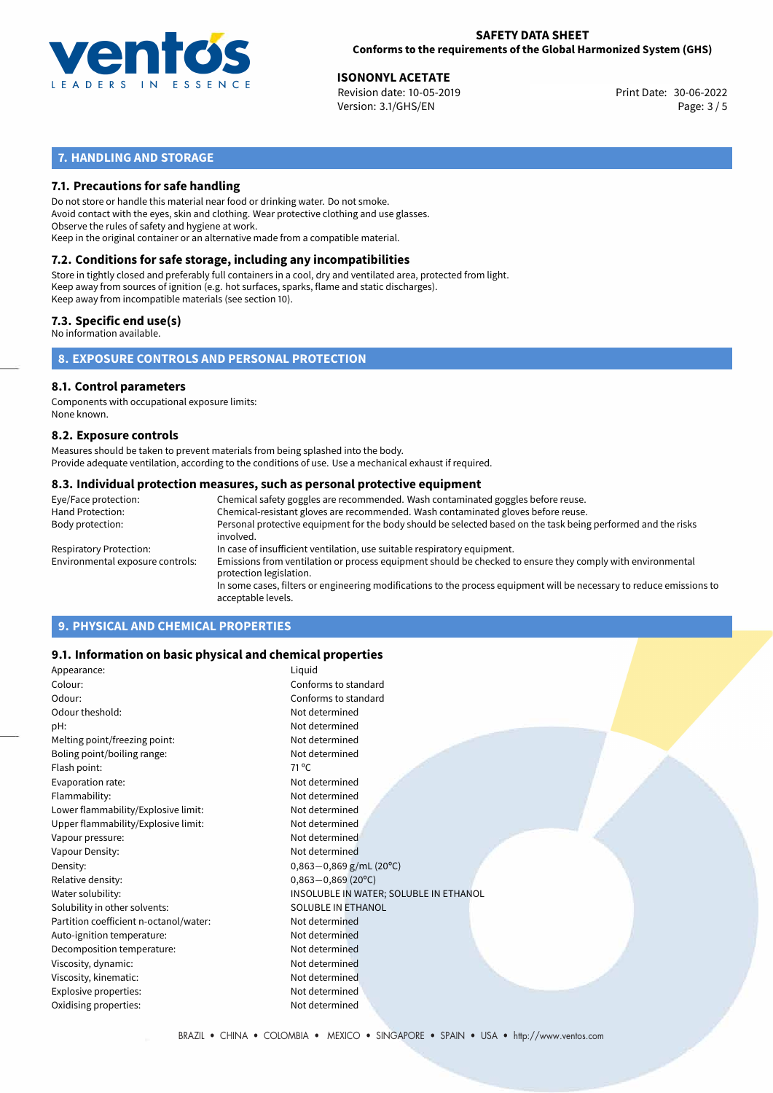

## **SAFETY DATA SHEET Conforms to the requirements of the Global Harmonized System (GHS)**

30-06-2022 **ISONONYL ACETATE** Revision date: 10-05-2019 Print Date: Version: 3.1/GHS/EN Page: 3 / 5

# **7. HANDLING AND STORAGE**

## **7.1. Precautions for safe handling**

Do not store or handle this material near food or drinking water. Do not smoke. Avoid contact with the eyes, skin and clothing. Wear protective clothing and use glasses. Observe the rules of safety and hygiene at work. Keep in the original container or an alternative made from a compatible material.

# **7.2. Conditions for safe storage, including any incompatibilities**

Store in tightly closed and preferably full containers in a cool, dry and ventilated area, protected from light. Keep away from sources of ignition (e.g. hot surfaces, sparks, flame and static discharges). Keep away from incompatible materials (see section 10).

## **7.3. Specific end use(s)**

No information available.

**8. EXPOSURE CONTROLS AND PERSONAL PROTECTION**

# **8.1. Control parameters**

Components with occupational exposure limits: None known.

#### **8.2. Exposure controls**

Measures should be taken to prevent materials from being splashed into the body. Provide adequate ventilation, according to the conditions of use. Use a mechanical exhaust if required.

#### **8.3. Individual protection measures, such as personal protective equipment**

| Eye/Face protection:             | Chemical safety goggles are recommended. Wash contaminated goggles before reuse.                                                            |
|----------------------------------|---------------------------------------------------------------------------------------------------------------------------------------------|
| Hand Protection:                 | Chemical-resistant gloves are recommended. Wash contaminated gloves before reuse.                                                           |
| Body protection:                 | Personal protective equipment for the body should be selected based on the task being performed and the risks<br>involved.                  |
| Respiratory Protection:          | In case of insufficient ventilation, use suitable respiratory equipment.                                                                    |
| Environmental exposure controls: | Emissions from ventilation or process equipment should be checked to ensure they comply with environmental<br>protection legislation.       |
|                                  | In some cases, filters or engineering modifications to the process equipment will be necessary to reduce emissions to<br>acceptable levels. |
|                                  |                                                                                                                                             |

# **9. PHYSICAL AND CHEMICAL PROPERTIES**

## **9.1. Information on basic physical and chemical properties**

| Appearance:                            | Liquid                                 |
|----------------------------------------|----------------------------------------|
| Colour:                                | Conforms to standard                   |
| Odour:                                 | Conforms to standard                   |
| Odour theshold:                        | Not determined                         |
| pH:                                    | Not determined                         |
| Melting point/freezing point:          | Not determined                         |
| Boling point/boiling range:            | Not determined                         |
| Flash point:                           | $71^{\circ}$ C                         |
| Evaporation rate:                      | Not determined                         |
| Flammability:                          | Not determined                         |
| Lower flammability/Explosive limit:    | Not determined                         |
| Upper flammability/Explosive limit:    | Not determined                         |
| Vapour pressure:                       | Not determined                         |
| Vapour Density:                        | Not determined                         |
| Density:                               | $0,863 - 0,869$ g/mL (20°C)            |
| Relative density:                      | $0,863 - 0,869$ (20°C)                 |
| Water solubility:                      | INSOLUBLE IN WATER; SOLUBLE IN ETHANOL |
| Solubility in other solvents:          | SOLUBLE IN ETHANOL                     |
| Partition coefficient n-octanol/water: | Not determined                         |
| Auto-ignition temperature:             | Not determined                         |
| Decomposition temperature:             | Not determined                         |
| Viscosity, dynamic:                    | Not determined                         |
| Viscosity, kinematic:                  | Not determined                         |
| Explosive properties:                  | Not determined                         |
| Oxidising properties:                  | Not determined                         |
|                                        |                                        |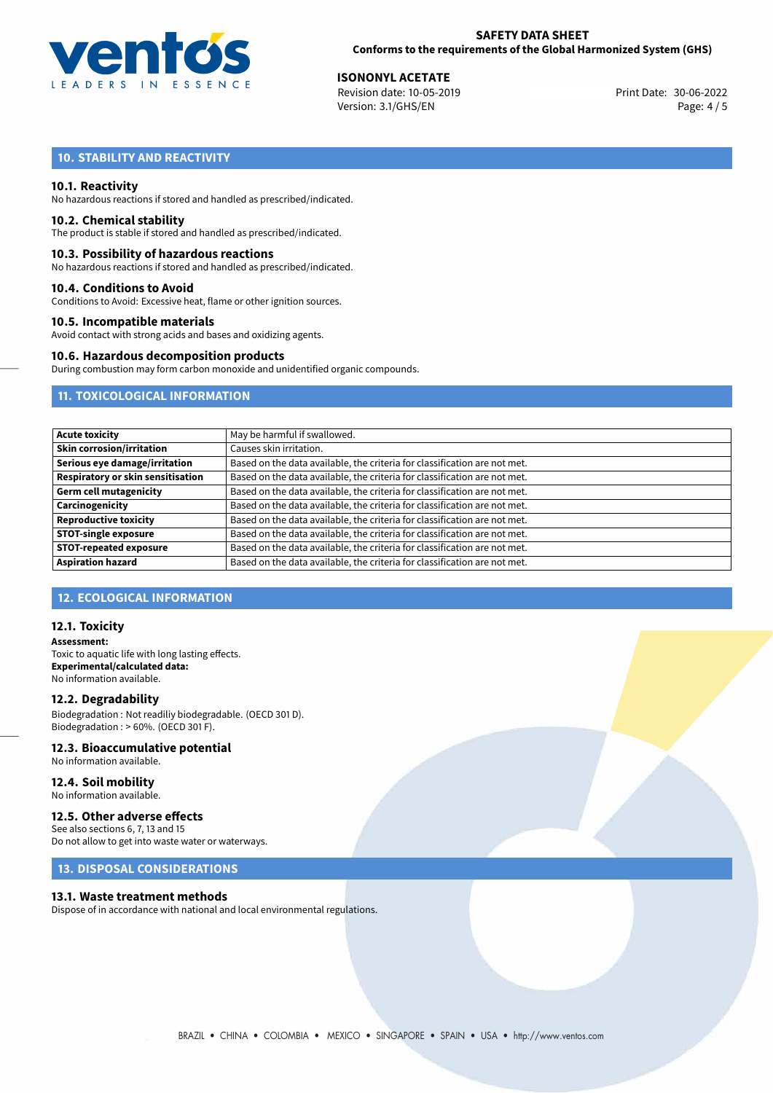

30-06-2022 **ISONONYL ACETATE** Revision date: 10-05-2019 Print Date: Version: 3.1/GHS/EN Page: 4 / 5

# **10. STABILITY AND REACTIVITY**

#### **10.1. Reactivity**

No hazardous reactions if stored and handled as prescribed/indicated.

#### **10.2. Chemical stability**

The product is stable if stored and handled as prescribed/indicated.

#### **10.3. Possibility of hazardous reactions**

No hazardous reactions if stored and handled as prescribed/indicated.

#### **10.4. Conditions to Avoid**

Conditions to Avoid: Excessive heat, flame or other ignition sources.

#### **10.5. Incompatible materials**

Avoid contact with strong acids and bases and oxidizing agents.

#### **10.6. Hazardous decomposition products**

During combustion may form carbon monoxide and unidentified organic compounds.

# **11. TOXICOLOGICAL INFORMATION**

| Acute toxicity                    | May be harmful if swallowed.                                              |
|-----------------------------------|---------------------------------------------------------------------------|
| Skin corrosion/irritation         | Causes skin irritation.                                                   |
| Serious eye damage/irritation     | Based on the data available, the criteria for classification are not met. |
| Respiratory or skin sensitisation | Based on the data available, the criteria for classification are not met. |
| Germ cell mutagenicity            | Based on the data available, the criteria for classification are not met. |
| Carcinogenicity                   | Based on the data available, the criteria for classification are not met. |
| <b>Reproductive toxicity</b>      | Based on the data available, the criteria for classification are not met. |
| <b>STOT-single exposure</b>       | Based on the data available, the criteria for classification are not met. |
| <b>STOT-repeated exposure</b>     | Based on the data available, the criteria for classification are not met. |
| <b>Aspiration hazard</b>          | Based on the data available, the criteria for classification are not met. |

## **12. ECOLOGICAL INFORMATION**

#### **12.1. Toxicity**

**Assessment:** Toxic to aquatic life with long lasting effects. **Experimental/calculated data:** No information available.

# **12.2. Degradability**

Biodegradation : Not readiliy biodegradable. (OECD 301 D). Biodegradation : > 60%. (OECD 301 F).

## **12.3. Bioaccumulative potential**

No information available.

#### **12.4. Soil mobility** No information available.

# **12.5. Other adverse effects**

See also sections 6, 7, 13 and 15 Do not allow to get into waste water or waterways.

# **13. DISPOSAL CONSIDERATIONS**

#### **13.1. Waste treatment methods**

Dispose of in accordance with national and local environmental regulations.